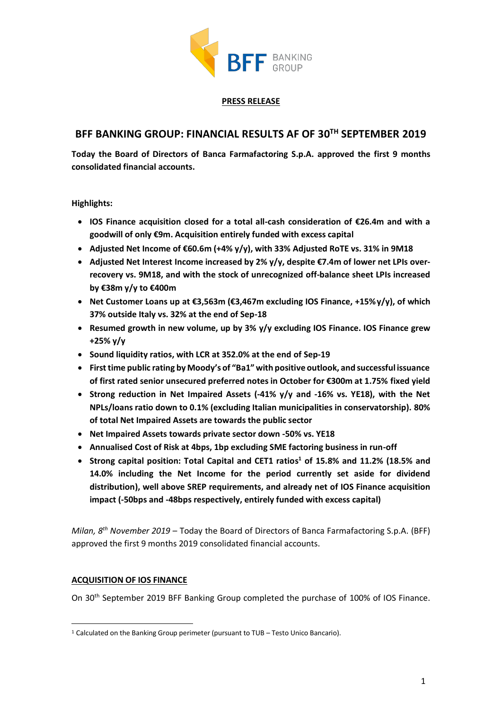

### **PRESS RELEASE**

# **BFF BANKING GROUP: FINANCIAL RESULTS AF OF 30TH SEPTEMBER 2019**

**Today the Board of Directors of Banca Farmafactoring S.p.A. approved the first 9 months consolidated financial accounts.**

**Highlights:**

- **IOS Finance acquisition closed for a total all-cash consideration of €26.4m and with a goodwill of only €9m. Acquisition entirely funded with excess capital**
- **Adjusted Net Income of €60.6m (+4% y/y), with 33% Adjusted RoTE vs. 31% in 9M18**
- **Adjusted Net Interest Income increased by 2% y/y, despite €7.4m of lower net LPIs overrecovery vs. 9M18, and with the stock of unrecognized off-balance sheet LPIs increased by €38m y/y to €400m**
- **Net Customer Loans up at €3,563m (€3,467m excluding IOS Finance, +15%y/y), of which 37% outside Italy vs. 32% at the end of Sep-18**
- **Resumed growth in new volume, up by 3% y/y excluding IOS Finance. IOS Finance grew +25% y/y**
- **Sound liquidity ratios, with LCR at 352.0% at the end of Sep-19**
- **First time public rating by Moody's of "Ba1" with positive outlook, and successful issuance of first rated senior unsecured preferred notes in October for €300m at 1.75% fixed yield**
- **Strong reduction in Net Impaired Assets (-41% y/y and -16% vs. YE18), with the Net NPLs/loans ratio down to 0.1% (excluding Italian municipalities in conservatorship). 80% of total Net Impaired Assets are towards the public sector**
- **Net Impaired Assets towards private sector down -50% vs. YE18**
- **Annualised Cost of Risk at 4bps, 1bp excluding SME factoring business in run-off**
- **Strong capital position: Total Capital and CET1 ratios <sup>1</sup> of 15.8% and 11.2% (18.5% and 14.0% including the Net Income for the period currently set aside for dividend distribution), well above SREP requirements, and already net of IOS Finance acquisition impact (-50bps and -48bps respectively, entirely funded with excess capital)**

*Milan, 8 th November 2019* – Today the Board of Directors of Banca Farmafactoring S.p.A. (BFF) approved the first 9 months 2019 consolidated financial accounts.

# **ACQUISITION OF IOS FINANCE**

On 30th September 2019 BFF Banking Group completed the purchase of 100% of IOS Finance.

<sup>1</sup> Calculated on the Banking Group perimeter (pursuant to TUB – Testo Unico Bancario).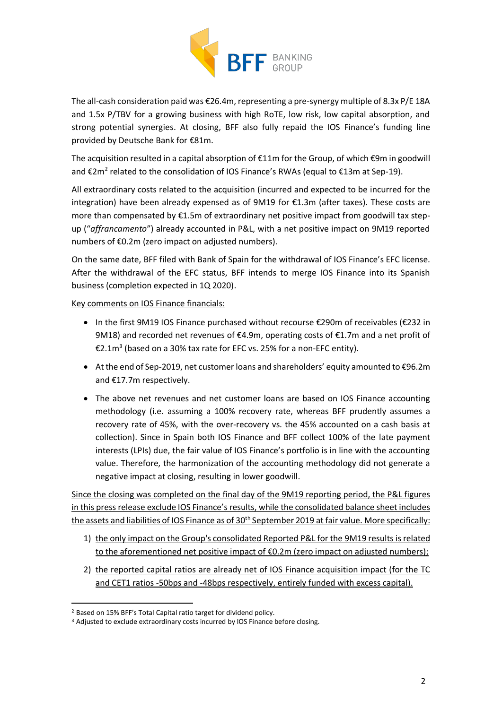

The all-cash consideration paid was €26.4m, representing a pre-synergy multiple of 8.3x P/E 18A and 1.5x P/TBV for a growing business with high RoTE, low risk, low capital absorption, and strong potential synergies. At closing, BFF also fully repaid the IOS Finance's funding line provided by Deutsche Bank for €81m.

The acquisition resulted in a capital absorption of €11m for the Group, of which €9m in goodwill and €2m<sup>2</sup> related to the consolidation of IOS Finance's RWAs (equal to €13m at Sep-19).

All extraordinary costs related to the acquisition (incurred and expected to be incurred for the integration) have been already expensed as of 9M19 for €1.3m (after taxes). These costs are more than compensated by €1.5m of extraordinary net positive impact from goodwill tax stepup ("*affrancamento*") already accounted in P&L, with a net positive impact on 9M19 reported numbers of €0.2m (zero impact on adjusted numbers).

On the same date, BFF filed with Bank of Spain for the withdrawal of IOS Finance's EFC license. After the withdrawal of the EFC status, BFF intends to merge IOS Finance into its Spanish business (completion expected in 1Q 2020).

Key comments on IOS Finance financials:

- In the first 9M19 IOS Finance purchased without recourse €290m of receivables (€232 in 9M18) and recorded net revenues of  $\epsilon$ 4.9m, operating costs of  $\epsilon$ 1.7m and a net profit of €2.1m<sup>3</sup> (based on a 30% tax rate for EFC vs. 25% for a non-EFC entity).
- At the end of Sep-2019, net customer loans and shareholders' equity amounted to €96.2m and €17.7m respectively.
- The above net revenues and net customer loans are based on IOS Finance accounting methodology (i.e. assuming a 100% recovery rate, whereas BFF prudently assumes a recovery rate of 45%, with the over-recovery vs. the 45% accounted on a cash basis at collection). Since in Spain both IOS Finance and BFF collect 100% of the late payment interests (LPIs) due, the fair value of IOS Finance's portfolio is in line with the accounting value. Therefore, the harmonization of the accounting methodology did not generate a negative impact at closing, resulting in lower goodwill.

Since the closing was completed on the final day of the 9M19 reporting period, the P&L figures in this press release exclude IOS Finance's results, while the consolidated balance sheet includes the assets and liabilities of IOS Finance as of 30<sup>th</sup> September 2019 at fair value. More specifically:

- 1) the only impact on the Group's consolidated Reported P&L for the 9M19 results is related to the aforementioned net positive impact of  $E$ 0.2m (zero impact on adjusted numbers);
- 2) the reported capital ratios are already net of IOS Finance acquisition impact (for the TC and CET1 ratios -50bps and -48bps respectively, entirely funded with excess capital).

<sup>2</sup> Based on 15% BFF's Total Capital ratio target for dividend policy.

<sup>&</sup>lt;sup>3</sup> Adjusted to exclude extraordinary costs incurred by IOS Finance before closing.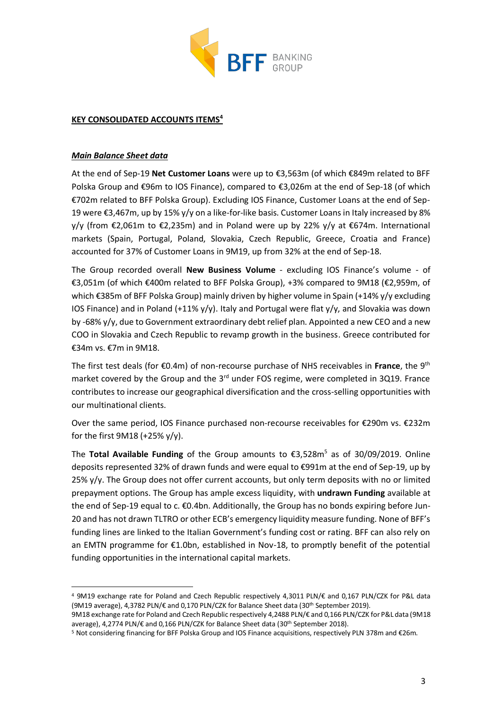

### **KEY CONSOLIDATED ACCOUNTS ITEMS<sup>4</sup>**

### *Main Balance Sheet data*

At the end of Sep-19 **Net Customer Loans** were up to €3,563m (of which €849m related to BFF Polska Group and €96m to IOS Finance), compared to €3,026m at the end of Sep-18 (of which €702m related to BFF Polska Group). Excluding IOS Finance, Customer Loans at the end of Sep-19 were €3,467m, up by 15% y/y on a like-for-like basis. Customer Loans in Italy increased by 8% y/y (from €2,061m to €2,235m) and in Poland were up by 22% y/y at €674m. International markets (Spain, Portugal, Poland, Slovakia, Czech Republic, Greece, Croatia and France) accounted for 37% of Customer Loans in 9M19, up from 32% at the end of Sep-18.

The Group recorded overall **New Business Volume** - excluding IOS Finance's volume - of €3,051m (of which €400m related to BFF Polska Group), +3% compared to 9M18 (€2,959m, of which €385m of BFF Polska Group) mainly driven by higher volume in Spain (+14% y/y excluding IOS Finance) and in Poland (+11%  $y/y$ ). Italy and Portugal were flat  $y/y$ , and Slovakia was down by -68% y/y, due to Government extraordinary debt relief plan. Appointed a new CEO and a new COO in Slovakia and Czech Republic to revamp growth in the business. Greece contributed for €34m vs. €7m in 9M18.

The first test deals (for €0.4m) of non-recourse purchase of NHS receivables in **France**, the 9th market covered by the Group and the 3<sup>rd</sup> under FOS regime, were completed in 3Q19. France contributes to increase our geographical diversification and the cross-selling opportunities with our multinational clients.

Over the same period, IOS Finance purchased non-recourse receivables for €290m vs. €232m for the first 9M18 (+25% y/y).

The **Total Available Funding** of the Group amounts to €3,528m<sup>5</sup> as of 30/09/2019. Online deposits represented 32% of drawn funds and were equal to €991m at the end of Sep-19, up by 25% y/y. The Group does not offer current accounts, but only term deposits with no or limited prepayment options. The Group has ample excess liquidity, with **undrawn Funding** available at the end of Sep-19 equal to c. €0.4bn. Additionally, the Group has no bonds expiring before Jun-20 and has not drawn TLTRO or other ECB's emergency liquidity measure funding. None of BFF's funding lines are linked to the Italian Government's funding cost or rating. BFF can also rely on an EMTN programme for €1.0bn, established in Nov-18, to promptly benefit of the potential funding opportunities in the international capital markets.

<sup>4</sup> 9M19 exchange rate for Poland and Czech Republic respectively 4,3011 PLN/€ and 0,167 PLN/CZK for P&L data (9M19 average), 4,3782 PLN/€ and 0,170 PLN/CZK for Balance Sheet data (30th September 2019).

<sup>9</sup>M18 exchange rate for Poland and Czech Republic respectively 4,2488 PLN/€ and 0,166 PLN/CZK for P&L data (9M18 average), 4,2774 PLN/€ and 0,166 PLN/CZK for Balance Sheet data (30th September 2018).

<sup>5</sup> Not considering financing for BFF Polska Group and IOS Finance acquisitions, respectively PLN 378m and €26m.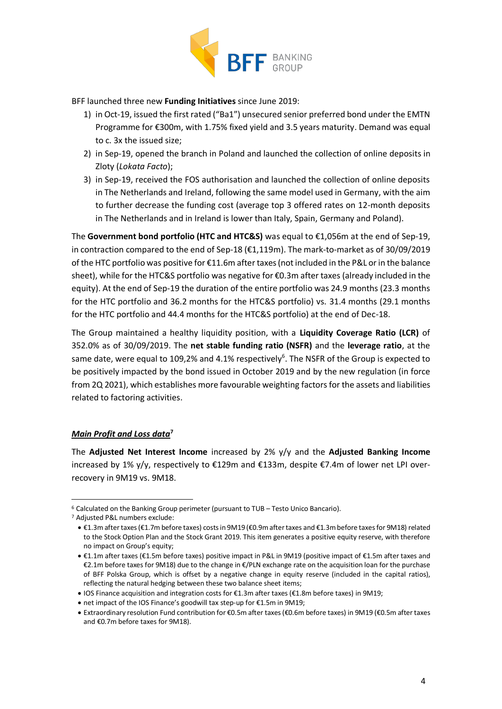

BFF launched three new **Funding Initiatives** since June 2019:

- 1) in Oct-19, issued the first rated ("Ba1") unsecured senior preferred bond under the EMTN Programme for €300m, with 1.75% fixed yield and 3.5 years maturity. Demand was equal to c. 3x the issued size;
- 2) in Sep-19, opened the branch in Poland and launched the collection of online deposits in Zloty (*Lokata Facto*);
- 3) in Sep-19, received the FOS authorisation and launched the collection of online deposits in The Netherlands and Ireland, following the same model used in Germany, with the aim to further decrease the funding cost (average top 3 offered rates on 12-month deposits in The Netherlands and in Ireland is lower than Italy, Spain, Germany and Poland).

The **Government bond portfolio (HTC and HTC&S)** was equal to €1,056m at the end of Sep-19, in contraction compared to the end of Sep-18 (€1,119m). The mark-to-market as of 30/09/2019 of the HTC portfolio was positive for €11.6m after taxes (not included in the P&L or in the balance sheet), while for the HTC&S portfolio was negative for €0.3m after taxes (already included in the equity). At the end of Sep-19 the duration of the entire portfolio was 24.9 months (23.3 months for the HTC portfolio and 36.2 months for the HTC&S portfolio) vs. 31.4 months (29.1 months for the HTC portfolio and 44.4 months for the HTC&S portfolio) at the end of Dec-18.

The Group maintained a healthy liquidity position, with a **Liquidity Coverage Ratio (LCR)** of 352.0% as of 30/09/2019. The **net stable funding ratio (NSFR)** and the **leverage ratio**, at the same date, were equal to 109,2% and 4.1% respectively<sup>6</sup>. The NSFR of the Group is expected to be positively impacted by the bond issued in October 2019 and by the new regulation (in force from 2Q 2021), which establishes more favourable weighting factors for the assets and liabilities related to factoring activities.

# *Main Profit and Loss data***<sup>7</sup>**

The **Adjusted Net Interest Income** increased by 2% y/y and the **Adjusted Banking Income** increased by 1% y/y, respectively to €129m and €133m, despite €7.4m of lower net LPI overrecovery in 9M19 vs. 9M18.

<sup>6</sup> Calculated on the Banking Group perimeter (pursuant to TUB – Testo Unico Bancario).

<sup>7</sup> Adjusted P&L numbers exclude:

<sup>•</sup> €1.3m after taxes (€1.7m before taxes) costs in 9M19 (€0.9m after taxes and €1.3m before taxes for 9M18) related to the Stock Option Plan and the Stock Grant 2019. This item generates a positive equity reserve, with therefore no impact on Group's equity;

<sup>•</sup> €1.1m after taxes (€1.5m before taxes) positive impact in P&L in 9M19 (positive impact of €1.5m after taxes and €2.1m before taxes for 9M18) due to the change in €/PLN exchange rate on the acquisition loan for the purchase of BFF Polska Group, which is offset by a negative change in equity reserve (included in the capital ratios), reflecting the natural hedging between these two balance sheet items;

<sup>•</sup> IOS Finance acquisition and integration costs for €1.3m after taxes (€1.8m before taxes) in 9M19;

<sup>•</sup> net impact of the IOS Finance's goodwill tax step-up for €1.5m in 9M19;

<sup>•</sup> Extraordinary resolution Fund contribution for €0.5m after taxes (€0.6m before taxes) in 9M19 (€0.5m after taxes and €0.7m before taxes for 9M18).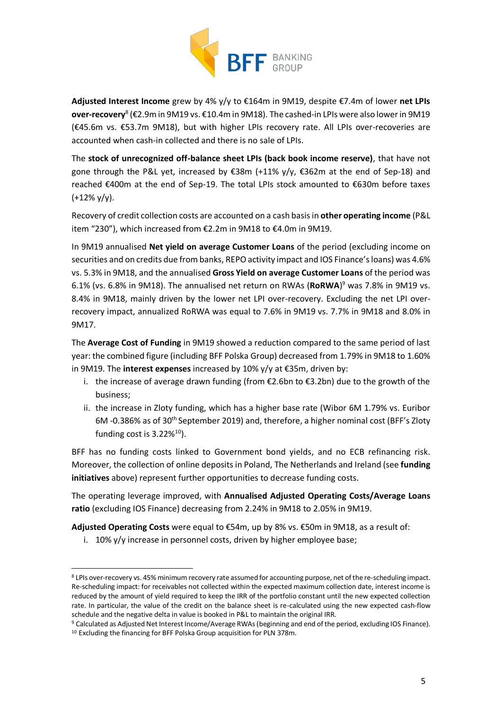

**Adjusted Interest Income** grew by 4% y/y to €164m in 9M19, despite €7.4m of lower **net LPIs over-recovery<sup>8</sup> (€**2.9m in 9M19 vs. €10.4m in 9M18). The cashed-in LPIs were also lower in 9M19 (€45.6m vs. €53.7m 9M18), but with higher LPIs recovery rate. All LPIs over-recoveries are accounted when cash-in collected and there is no sale of LPIs.

The **stock of unrecognized off-balance sheet LPIs (back book income reserve)**, that have not gone through the P&L yet, increased by €38m (+11% y/y, €362m at the end of Sep-18) and reached €400m at the end of Sep-19. The total LPIs stock amounted to €630m before taxes  $(+12\%$  y/y).

Recovery of credit collection costs are accounted on a cash basis in **other operating income** (P&L item "230"), which increased from €2.2m in 9M18 to €4.0m in 9M19.

In 9M19 annualised **Net yield on average Customer Loans** of the period (excluding income on securities and on credits due from banks, REPO activity impact and IOS Finance's loans) was 4.6% vs. 5.3% in 9M18, and the annualised **Gross Yield on average Customer Loans** of the period was 6.1% (vs. 6.8% in 9M18). The annualised net return on RWAs (**RoRWA**) <sup>9</sup> was 7.8% in 9M19 vs. 8.4% in 9M18, mainly driven by the lower net LPI over-recovery. Excluding the net LPI overrecovery impact, annualized RoRWA was equal to 7.6% in 9M19 vs. 7.7% in 9M18 and 8.0% in 9M17.

The **Average Cost of Funding** in 9M19 showed a reduction compared to the same period of last year: the combined figure (including BFF Polska Group) decreased from 1.79% in 9M18 to 1.60% in 9M19. The **interest expenses** increased by 10% y/y at €35m, driven by:

- i. the increase of average drawn funding (from €2.6bn to €3.2bn) due to the growth of the business;
- ii. the increase in Zloty funding, which has a higher base rate (Wibor 6M 1.79% vs. Euribor 6M -0.386% as of 30th September 2019) and, therefore, a higher nominal cost (BFF's Zloty funding cost is 3.22%<sup>10</sup>).

BFF has no funding costs linked to Government bond yields, and no ECB refinancing risk. Moreover, the collection of online deposits in Poland, The Netherlands and Ireland (see **funding initiatives** above) represent further opportunities to decrease funding costs.

The operating leverage improved, with **Annualised Adjusted Operating Costs/Average Loans ratio** (excluding IOS Finance) decreasing from 2.24% in 9M18 to 2.05% in 9M19.

**Adjusted Operating Costs** were equal to €54m, up by 8% vs. €50m in 9M18, as a result of:

i. 10% y/y increase in personnel costs, driven by higher employee base;

<sup>8</sup> LPIs over-recovery vs. 45% minimum recovery rate assumed for accounting purpose, net of the re-scheduling impact. Re-scheduling impact: for receivables not collected within the expected maximum collection date, interest income is reduced by the amount of yield required to keep the IRR of the portfolio constant until the new expected collection rate. In particular, the value of the credit on the balance sheet is re-calculated using the new expected cash-flow schedule and the negative delta in value is booked in P&L to maintain the original IRR.

<sup>9</sup> Calculated as Adjusted Net Interest Income/Average RWAs (beginning and end of the period, excluding IOS Finance). <sup>10</sup> Excluding the financing for BFF Polska Group acquisition for PLN 378m.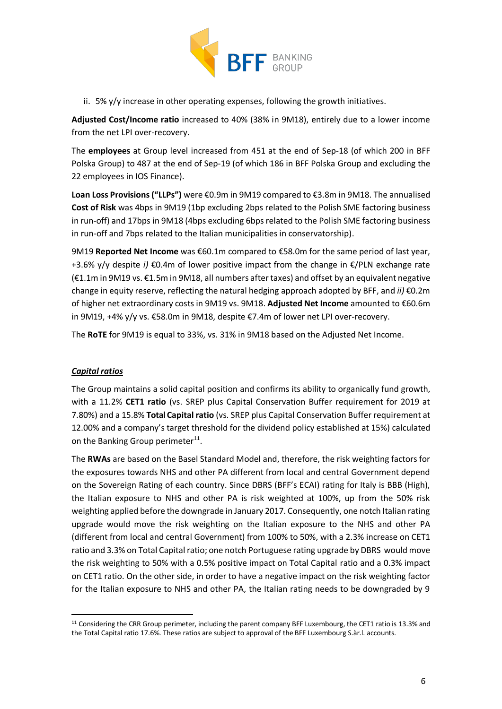

ii. 5% y/y increase in other operating expenses, following the growth initiatives.

**Adjusted Cost/Income ratio** increased to 40% (38% in 9M18), entirely due to a lower income from the net LPI over-recovery.

The **employees** at Group level increased from 451 at the end of Sep-18 (of which 200 in BFF Polska Group) to 487 at the end of Sep-19 (of which 186 in BFF Polska Group and excluding the 22 employees in IOS Finance).

**Loan Loss Provisions ("LLPs")** were €0.9m in 9M19 compared to €3.8m in 9M18. The annualised **Cost of Risk** was 4bps in 9M19 (1bp excluding 2bps related to the Polish SME factoring business in run-off) and 17bps in 9M18 (4bps excluding 6bps related to the Polish SME factoring business in run-off and 7bps related to the Italian municipalities in conservatorship).

9M19 **Reported Net Income** was €60.1m compared to €58.0m for the same period of last year, +3.6% y/y despite *i)* €0.4m of lower positive impact from the change in €/PLN exchange rate (€1.1m in 9M19 vs. €1.5m in 9M18, all numbers after taxes) and offset by an equivalent negative change in equity reserve, reflecting the natural hedging approach adopted by BFF, and *ii)* €0.2m of higher net extraordinary costs in 9M19 vs. 9M18. **Adjusted Net Income** amounted to €60.6m in 9M19, +4% y/y vs. €58.0m in 9M18, despite €7.4m of lower net LPI over-recovery.

The **RoTE** for 9M19 is equal to 33%, vs. 31% in 9M18 based on the Adjusted Net Income.

# *Capital ratios*

The Group maintains a solid capital position and confirms its ability to organically fund growth, with a 11.2% **CET1 ratio** (vs. SREP plus Capital Conservation Buffer requirement for 2019 at 7.80%) and a 15.8% **Total Capital ratio** (vs. SREP plus Capital Conservation Buffer requirement at 12.00% and a company's target threshold for the dividend policy established at 15%) calculated on the Banking Group perimeter<sup>11</sup>.

The **RWAs** are based on the Basel Standard Model and, therefore, the risk weighting factors for the exposures towards NHS and other PA different from local and central Government depend on the Sovereign Rating of each country. Since DBRS (BFF's ECAI) rating for Italy is BBB (High), the Italian exposure to NHS and other PA is risk weighted at 100%, up from the 50% risk weighting applied before the downgrade in January 2017. Consequently, one notch Italian rating upgrade would move the risk weighting on the Italian exposure to the NHS and other PA (different from local and central Government) from 100% to 50%, with a 2.3% increase on CET1 ratio and 3.3% on Total Capital ratio; one notch Portuguese rating upgrade by DBRS would move the risk weighting to 50% with a 0.5% positive impact on Total Capital ratio and a 0.3% impact on CET1 ratio. On the other side, in order to have a negative impact on the risk weighting factor for the Italian exposure to NHS and other PA, the Italian rating needs to be downgraded by 9

<sup>11</sup> Considering the CRR Group perimeter, including the parent company BFF Luxembourg, the CET1 ratio is 13.3% and the Total Capital ratio 17.6%. These ratios are subject to approval of the BFF Luxembourg S.àr.l. accounts.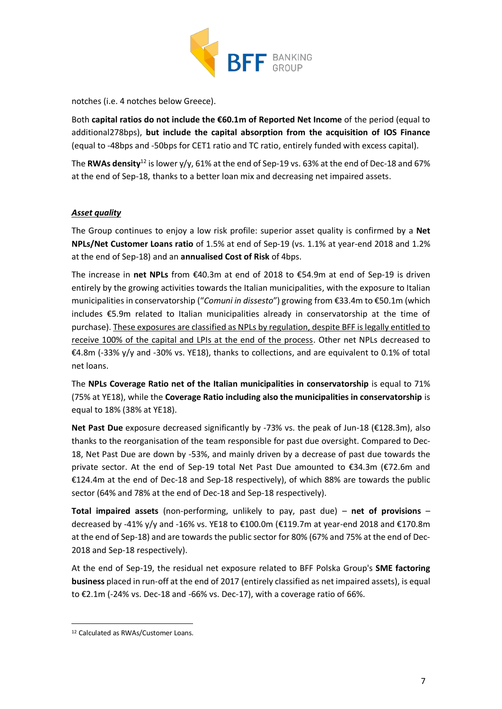

notches (i.e. 4 notches below Greece).

Both **capital ratios do not include the €60.1m of Reported Net Income** of the period (equal to additional278bps), **but include the capital absorption from the acquisition of IOS Finance** (equal to -48bps and -50bps for CET1 ratio and TC ratio, entirely funded with excess capital).

The **RWAs density**<sup>12</sup> is lower y/y, 61% at the end of Sep-19 vs. 63% at the end of Dec-18 and 67% at the end of Sep-18, thanks to a better loan mix and decreasing net impaired assets.

# *Asset quality*

The Group continues to enjoy a low risk profile: superior asset quality is confirmed by a **Net NPLs/Net Customer Loans ratio** of 1.5% at end of Sep-19 (vs. 1.1% at year-end 2018 and 1.2% at the end of Sep-18) and an **annualised Cost of Risk** of 4bps.

The increase in **net NPLs** from €40.3m at end of 2018 to €54.9m at end of Sep-19 is driven entirely by the growing activities towards the Italian municipalities, with the exposure to Italian municipalities in conservatorship ("*Comuni in dissesto*") growing from €33.4m to €50.1m (which includes €5.9m related to Italian municipalities already in conservatorship at the time of purchase). These exposures are classified as NPLs by regulation, despite BFF is legally entitled to receive 100% of the capital and LPIs at the end of the process. Other net NPLs decreased to €4.8m (-33% y/y and -30% vs. YE18), thanks to collections, and are equivalent to 0.1% of total net loans.

The **NPLs Coverage Ratio net of the Italian municipalities in conservatorship** is equal to 71% (75% at YE18), while the **Coverage Ratio including also the municipalities in conservatorship** is equal to 18% (38% at YE18).

**Net Past Due** exposure decreased significantly by -73% vs. the peak of Jun-18 (€128.3m), also thanks to the reorganisation of the team responsible for past due oversight. Compared to Dec-18, Net Past Due are down by -53%, and mainly driven by a decrease of past due towards the private sector. At the end of Sep-19 total Net Past Due amounted to €34.3m (€72.6m and €124.4m at the end of Dec-18 and Sep-18 respectively), of which 88% are towards the public sector (64% and 78% at the end of Dec-18 and Sep-18 respectively).

**Total impaired assets** (non-performing, unlikely to pay, past due) – **net of provisions** – decreased by -41% y/y and -16% vs. YE18 to €100.0m (€119.7m at year-end 2018 and €170.8m at the end of Sep-18) and are towards the public sector for 80% (67% and 75% at the end of Dec-2018 and Sep-18 respectively).

At the end of Sep-19, the residual net exposure related to BFF Polska Group's **SME factoring business** placed in run-off at the end of 2017 (entirely classified as net impaired assets), is equal to €2.1m (-24% vs. Dec-18 and -66% vs. Dec-17), with a coverage ratio of 66%.

<sup>12</sup> Calculated as RWAs/Customer Loans.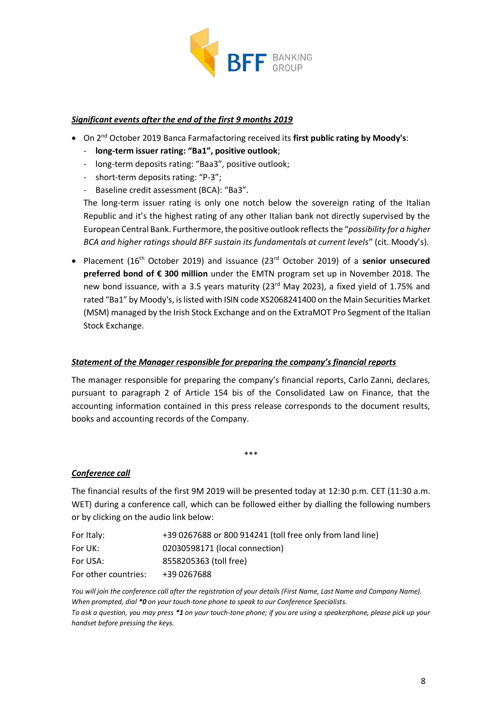

### *Significant events after the end of the first 9 months 2019*

- **•** On 2<sup>nd</sup> October 2019 Banca Farmafactoring received its first public rating by Moody's:
	- **long-term issuer rating: "Ba1", positive outlook**;
	- long-term deposits rating: "Baa3", positive outlook;
	- short-term deposits rating: "P-3";
	- Baseline credit assessment (BCA): "Ba3".

The long-term issuer rating is only one notch below the sovereign rating of the Italian Republic and it's the highest rating of any other Italian bank not directly supervised by the European Central Bank. Furthermore, the positive outlook reflects the "*possibility for a higher BCA and higher ratings should BFF sustain its fundamentals at current levels*" (cit. Moody's).

• Placement (16th October 2019) and issuance (23rd October 2019) of a **senior unsecured preferred bond of € 300 million** under the EMTN program set up in November 2018. The new bond issuance, with a 3.5 years maturity (23<sup>rd</sup> May 2023), a fixed yield of 1.75% and rated "Ba1" by Moody's, is listed with ISIN code XS2068241400 on the Main Securities Market (MSM) managed by the Irish Stock Exchange and on the ExtraMOT Pro Segment of the Italian Stock Exchange.

### *Statement of the Manager responsible for preparing the company's financial reports*

The manager responsible for preparing the company's financial reports, Carlo Zanni, declares, pursuant to paragraph 2 of Article 154 bis of the Consolidated Law on Finance, that the accounting information contained in this press release corresponds to the document results, books and accounting records of the Company.

#### *Conference call*

The financial results of the first 9M 2019 will be presented today at 12:30 p.m. CET (11:30 a.m. WET) during a conference call, which can be followed either by dialling the following numbers or by clicking on the audio link below:

\*\*\*

| For Italy:           | +39 0267688 or 800 914241 (toll free only from land line) |
|----------------------|-----------------------------------------------------------|
| For UK:              | 02030598171 (local connection)                            |
| For USA:             | 8558205363 (toll free)                                    |
| For other countries: | +39 0267688                                               |

*You will join the conference call after the registration of your details (First Name, Last Name and Company Name). When prompted, dial \*0 on your touch-tone phone to speak to our Conference Specialists. To ask a question, you may press \*1 on your touch-tone phone; if you are using a speakerphone, please pick up your handset before pressing the keys.*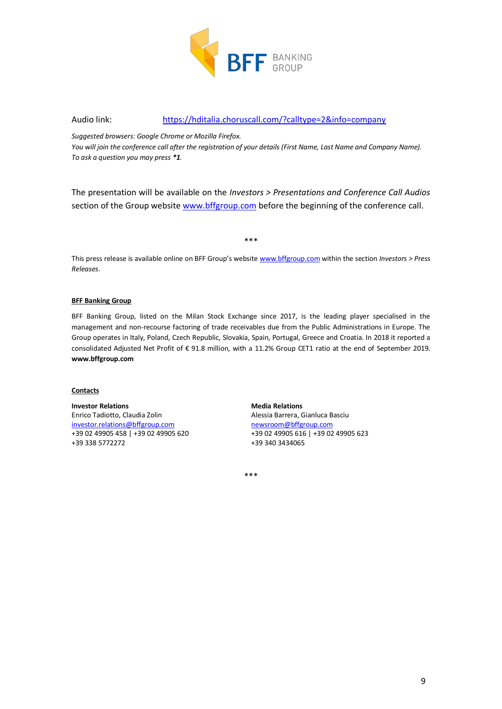

#### Audio link: <https://hditalia.choruscall.com/?calltype=2&info=company>

*Suggested browsers: Google Chrome or Mozilla Firefox.*

*You will join the conference call after the registration of your details (First Name, Last Name and Company Name). To ask a question you may press \*1.*

The presentation will be available on the *Investors > Presentations and Conference Call Audios* section of the Group website [www.bffgroup.com](http://www.bffgroup.com/) before the beginning of the conference call.

\*\*\*

This press release is available online on BFF Group's website [www.bffgroup.com](http://www.bffgroup.com/) within the section *Investors > Press Releases*.

#### **BFF Banking Group**

BFF Banking Group, listed on the Milan Stock Exchange since 2017, is the leading player specialised in the management and non-recourse factoring of trade receivables due from the Public Administrations in Europe. The Group operates in Italy, Poland, Czech Republic, Slovakia, Spain, Portugal, Greece and Croatia. In 2018 it reported a consolidated Adjusted Net Profit of € 91.8 million, with a 11.2% Group CET1 ratio at the end of September 2019. **www.bffgroup.com**

#### **Contacts**

#### **Investor Relations** Enrico Tadiotto, Claudia Zolin [investor.relations@bffgroup.com](mailto:investor.relations@bffgroup.com) +39 02 49905 458 | +39 02 49905 620 +39 338 5772272

**Media Relations** Alessia Barrera, Gianluca Basciu [newsroom@bffgroup.com](mailto:newsroom@bffgroup.com) +39 02 49905 616 | +39 02 49905 623 +39 340 3434065

\*\*\*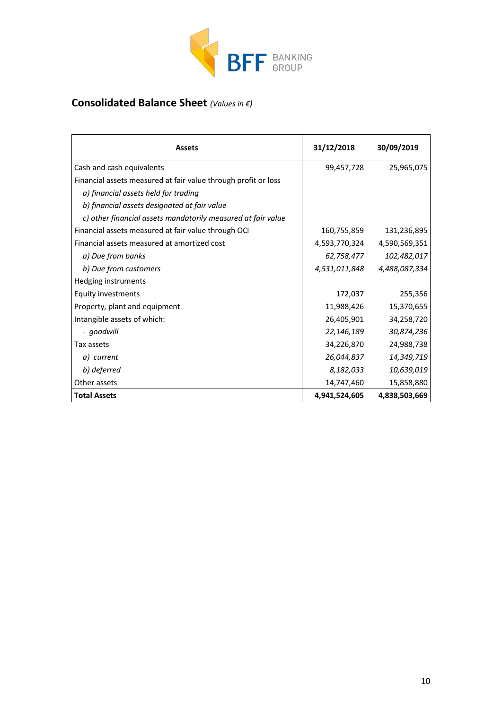

# **Consolidated Balance Sheet** *(Values in €)*

| <b>Assets</b>                                                  | 31/12/2018    | 30/09/2019    |
|----------------------------------------------------------------|---------------|---------------|
| Cash and cash equivalents                                      | 99,457,728    | 25,965,075    |
| Financial assets measured at fair value through profit or loss |               |               |
| a) financial assets held for trading                           |               |               |
| b) financial assets designated at fair value                   |               |               |
| c) other financial assets mandatorily measured at fair value   |               |               |
| Financial assets measured at fair value through OCI            | 160,755,859   | 131,236,895   |
| Financial assets measured at amortized cost                    | 4,593,770,324 | 4,590,569,351 |
| a) Due from banks                                              | 62,758,477    | 102,482,017   |
| b) Due from customers                                          | 4,531,011,848 | 4,488,087,334 |
| Hedging instruments                                            |               |               |
| <b>Equity investments</b>                                      | 172,037       | 255,356       |
| Property, plant and equipment                                  | 11,988,426    | 15,370,655    |
| Intangible assets of which:                                    | 26,405,901    | 34,258,720    |
| - goodwill                                                     | 22,146,189    | 30,874,236    |
| Tax assets                                                     | 34,226,870    | 24,988,738    |
| a) current                                                     | 26,044,837    | 14,349,719    |
| b) deferred                                                    | 8,182,033     | 10,639,019    |
| Other assets                                                   | 14,747,460    | 15,858,880    |
| <b>Total Assets</b>                                            | 4,941,524,605 | 4,838,503,669 |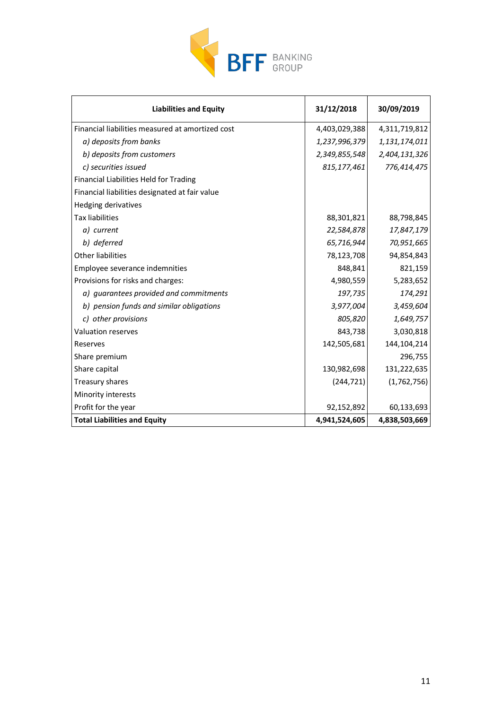

| <b>Liabilities and Equity</b>                    | 31/12/2018    | 30/09/2019    |
|--------------------------------------------------|---------------|---------------|
| Financial liabilities measured at amortized cost | 4,403,029,388 | 4,311,719,812 |
| a) deposits from banks                           | 1,237,996,379 | 1,131,174,011 |
| b) deposits from customers                       | 2,349,855,548 | 2,404,131,326 |
| c) securities issued                             | 815,177,461   | 776,414,475   |
| Financial Liabilities Held for Trading           |               |               |
| Financial liabilities designated at fair value   |               |               |
| <b>Hedging derivatives</b>                       |               |               |
| <b>Tax liabilities</b>                           | 88,301,821    | 88,798,845    |
| a) current                                       | 22,584,878    | 17,847,179    |
| b) deferred                                      | 65,716,944    | 70,951,665    |
| <b>Other liabilities</b>                         | 78,123,708    | 94,854,843    |
| Employee severance indemnities                   | 848,841       | 821,159       |
| Provisions for risks and charges:                | 4,980,559     | 5,283,652     |
| a) guarantees provided and commitments           | 197,735       | 174,291       |
| b) pension funds and similar obligations         | 3,977,004     | 3,459,604     |
| c) other provisions                              | 805,820       | 1,649,757     |
| <b>Valuation reserves</b>                        | 843,738       | 3,030,818     |
| Reserves                                         | 142,505,681   | 144, 104, 214 |
| Share premium                                    |               | 296,755       |
| Share capital                                    | 130,982,698   | 131,222,635   |
| Treasury shares                                  | (244, 721)    | (1,762,756)   |
| Minority interests                               |               |               |
| Profit for the year                              | 92,152,892    | 60,133,693    |
| <b>Total Liabilities and Equity</b>              | 4,941,524,605 | 4,838,503,669 |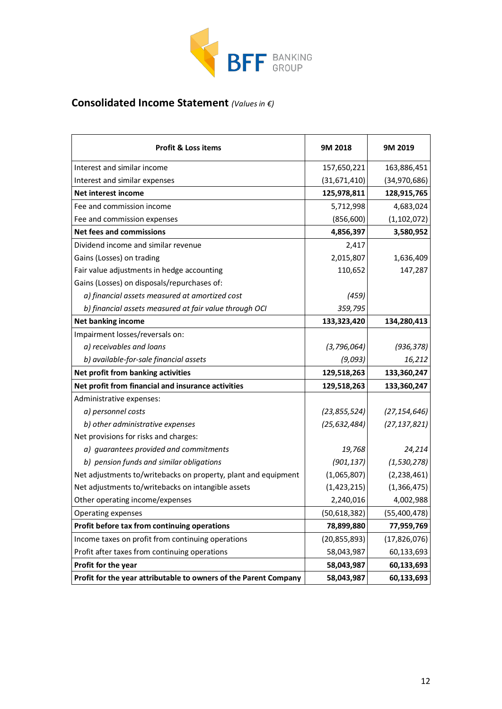

# **Consolidated Income Statement** *(Values in €)*

| <b>Profit &amp; Loss items</b>                                   | 9M 2018        | 9M 2019        |
|------------------------------------------------------------------|----------------|----------------|
| Interest and similar income                                      | 157,650,221    | 163,886,451    |
| Interest and similar expenses                                    | (31,671,410)   | (34, 970, 686) |
| <b>Net interest income</b>                                       | 125,978,811    | 128,915,765    |
| Fee and commission income                                        | 5,712,998      | 4,683,024      |
| Fee and commission expenses                                      | (856, 600)     | (1, 102, 072)  |
| <b>Net fees and commissions</b>                                  | 4,856,397      | 3,580,952      |
| Dividend income and similar revenue                              | 2,417          |                |
| Gains (Losses) on trading                                        | 2,015,807      | 1,636,409      |
| Fair value adjustments in hedge accounting                       | 110,652        | 147,287        |
| Gains (Losses) on disposals/repurchases of:                      |                |                |
| a) financial assets measured at amortized cost                   | (459)          |                |
| b) financial assets measured at fair value through OCI           | 359,795        |                |
| <b>Net banking income</b>                                        | 133,323,420    | 134,280,413    |
| Impairment losses/reversals on:                                  |                |                |
| a) receivables and loans                                         | (3, 796, 064)  | (936, 378)     |
| b) available-for-sale financial assets                           | (9,093)        | 16,212         |
| Net profit from banking activities                               | 129,518,263    | 133,360,247    |
| Net profit from financial and insurance activities               | 129,518,263    | 133,360,247    |
| Administrative expenses:                                         |                |                |
| a) personnel costs                                               | (23, 855, 524) | (27, 154, 646) |
| b) other administrative expenses                                 | (25, 632, 484) | (27, 137, 821) |
| Net provisions for risks and charges:                            |                |                |
| a) guarantees provided and commitments                           | 19,768         | 24,214         |
| b) pension funds and similar obligations                         | (901, 137)     | (1, 530, 278)  |
| Net adjustments to/writebacks on property, plant and equipment   | (1,065,807)    | (2, 238, 461)  |
| Net adjustments to/writebacks on intangible assets               | (1, 423, 215)  | (1,366,475)    |
| Other operating income/expenses                                  | 2,240,016      | 4,002,988      |
| Operating expenses                                               | (50, 618, 382) | (55,400,478)   |
| Profit before tax from continuing operations                     | 78,899,880     | 77,959,769     |
| Income taxes on profit from continuing operations                | (20, 855, 893) | (17, 826, 076) |
| Profit after taxes from continuing operations                    | 58,043,987     | 60,133,693     |
| Profit for the year                                              | 58,043,987     | 60,133,693     |
| Profit for the year attributable to owners of the Parent Company | 58,043,987     | 60,133,693     |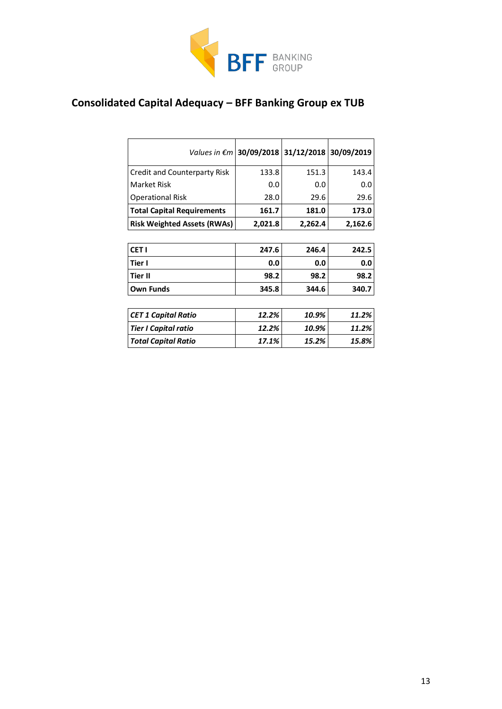

# **Consolidated Capital Adequacy – BFF Banking Group ex TUB**

|                                    | Values in $\epsilon$ m   30/09/2018 |         | 31/12/2018 30/09/2019 |
|------------------------------------|-------------------------------------|---------|-----------------------|
| Credit and Counterparty Risk       | 133.8                               | 151.3   | 143.4                 |
| Market Risk                        | 0.0                                 | 0.0     | 0.0                   |
| <b>Operational Risk</b>            | 28.0                                | 29.6    | 29.6                  |
| <b>Total Capital Requirements</b>  | 161.7                               | 181.0   | 173.0                 |
| <b>Risk Weighted Assets (RWAs)</b> | 2,021.8                             | 2,262.4 | 2,162.6               |
|                                    |                                     |         |                       |
| CET <sub>I</sub>                   | 247.6                               | 246.4   | 242.5                 |
| Tier I                             | 0.0                                 | 0.0     | 0.0                   |
| Tier II                            | 98.2                                | 98.2    | 98.2                  |
| <b>Own Funds</b>                   | 345.8                               | 344.6   | 340.7                 |
|                                    |                                     |         |                       |
| <b>CET 1 Capital Ratio</b>         | 12.2%                               | 10.9%   | 11.2%                 |
| <b>Tier I Capital ratio</b>        | 12.2%                               | 10.9%   | 11.2%                 |
| <b>Total Capital Ratio</b>         | 17.1%                               | 15.2%   | 15.8%                 |